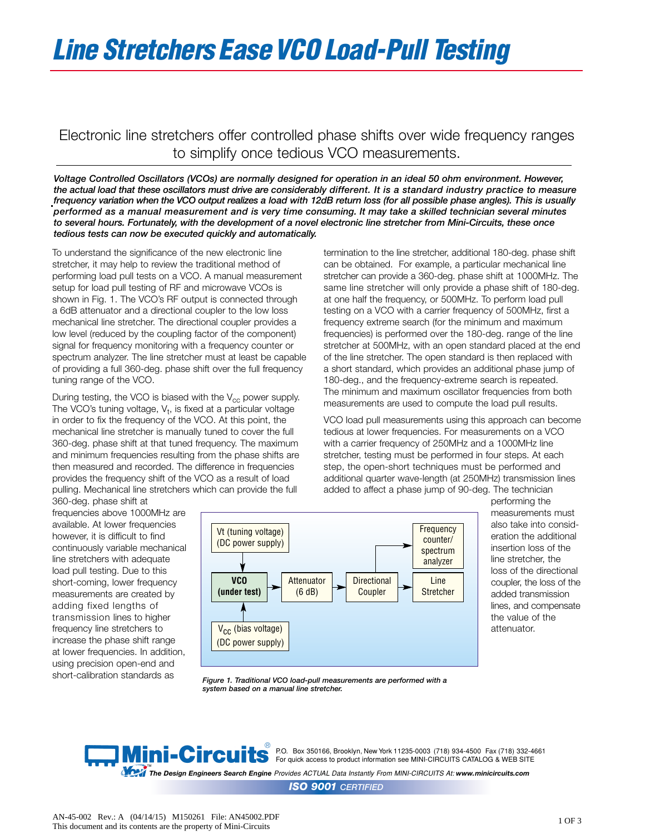## *Line Stretchers EaseVCO Load-Pull Testing*

## Electronic line stretchers offer controlled phase shifts over wide frequency ranges to simplify once tedious VCO measurements.

*Voltage Controlled Oscillators (VCOs) are normally designed for operation in an ideal 50 ohm environment. However, the actual load that these oscillators must drive are considerably different. It is a standard industry practice to measure frequency variation when the VCO output realizes a load with 12dB return loss (for all possible phase angles). This is usually performed as a manual measurement and is very time consuming. It may take a skilled technician several minutes to several hours. Fortunately, with the development of a novel electronic line stretcher from Mini-Circuits, these once tedious tests can now be executed quickly and automatically.*

To understand the significance of the new electronic line stretcher, it may help to review the traditional method of performing load pull tests on a VCO. A manual measurement setup for load pull testing of RF and microwave VCOs is shown in Fig. 1. The VCO's RF output is connected through a 6dB attenuator and a directional coupler to the low loss mechanical line stretcher. The directional coupler provides a low level (reduced by the coupling factor of the component) signal for frequency monitoring with a frequency counter or spectrum analyzer. The line stretcher must at least be capable of providing a full 360-deg. phase shift over the full frequency tuning range of the VCO.

During testing, the VCO is biased with the  $V_{cc}$  power supply. The VCO's tuning voltage,  $V_t$ , is fixed at a particular voltage in order to fix the frequency of the VCO. At this point, the mechanical line stretcher is manually tuned to cover the full 360-deg. phase shift at that tuned frequency. The maximum and minimum frequencies resulting from the phase shifts are then measured and recorded. The difference in frequencies provides the frequency shift of the VCO as a result of load pulling. Mechanical line stretchers which can provide the full 360-deg. phase shift at

frequencies above 1000MHz are available. At lower frequencies however, it is difficult to find continuously variable mechanical line stretchers with adequate load pull testing. Due to this short-coming, lower frequency measurements are created by adding fixed lengths of transmission lines to higher frequency line stretchers to increase the phase shift range at lower frequencies. In addition, using precision open-end and short-calibration standards as

termination to the line stretcher, additional 180-deg. phase shift can be obtained. For example, a particular mechanical line stretcher can provide a 360-deg. phase shift at 1000MHz. The same line stretcher will only provide a phase shift of 180-deg. at one half the frequency, or 500MHz. To perform load pull testing on a VCO with a carrier frequency of 500MHz, first a frequency extreme search (for the minimum and maximum frequencies) is performed over the 180-deg. range of the line stretcher at 500MHz, with an open standard placed at the end of the line stretcher. The open standard is then replaced with a short standard, which provides an additional phase jump of 180-deg., and the frequency-extreme search is repeated. The minimum and maximum oscillator frequencies from both measurements are used to compute the load pull results.

VCO load pull measurements using this approach can become tedious at lower frequencies. For measurements on a VCO with a carrier frequency of 250MHz and a 1000MHz line stretcher, testing must be performed in four steps. At each step, the open-short techniques must be performed and additional quarter wave-length (at 250MHz) transmission lines added to affect a phase jump of 90-deg. The technician



performing the measurements must also take into consideration the additional insertion loss of the line stretcher, the loss of the directional coupler, the loss of the added transmission lines, and compensate the value of the attenuator.

*Figure 1. Traditional VCO load-pull measurements are performed with a system based on a manual line stretcher.*



P.O. Box 350166, Brooklyn, New York 11235-0003 (718) 934-4500 Fax (718) 332-4661 For quick access to product information see MINI-CIRCUITS CATALOG & WEB SITE

™<br>The Design Engineers Search Engine Provides ACTUAL Data Instantly From MINI-CIRCUITS At: www.minicircuits.com

*ISO 9001 CERTIFIED*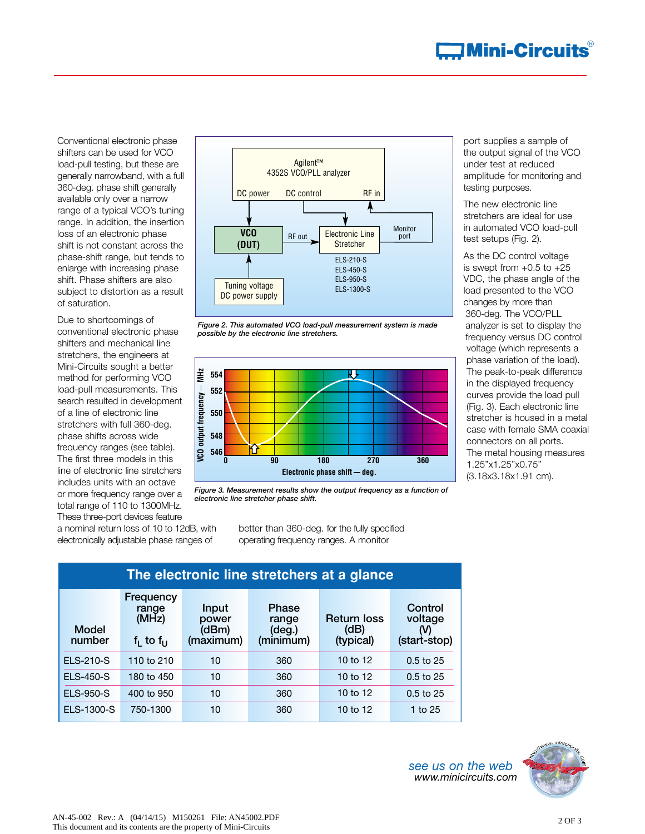Conventional electronic phase shifters can be used for VCO load-pull testing, but these are generally narrowband, with a full 360-deg. phase shift generally available only over a narrow range of a typical VCO's tuning range. In addition, the insertion loss of an electronic phase shift is not constant across the phase-shift range, but tends to enlarge with increasing phase shift. Phase shifters are also subject to distortion as a result of saturation.

Due to shortcomings of conventional electronic phase shifters and mechanical line stretchers, the engineers at Mini-Circuits sought a better method for performing VCO load-pull measurements. This search resulted in development of a line of electronic line stretchers with full 360-deg. phase shifts across wide frequency ranges (see table). The first three models in this line of electronic line stretchers includes units with an octave or more frequency range over a total range of 110 to 1300MHz. These three-port devices feature

a nominal return loss of 10 to 12dB, with electronically adjustable phase ranges of









better than 360-deg. for the fully specified operating frequency ranges. A monitor

| The electronic line stretchers at a glance |                                                         |                                             |                                                       |                                        |                                           |
|--------------------------------------------|---------------------------------------------------------|---------------------------------------------|-------------------------------------------------------|----------------------------------------|-------------------------------------------|
| <b>Model</b><br>number                     | <b>Frequency</b><br>range<br>(MHz)<br>$f_1$ to $f_{11}$ | <b>Input</b><br>power<br>(dBm)<br>(maximum) | <b>Phase</b><br>range<br>$(\text{deg.})$<br>(minimum) | <b>Return loss</b><br>(d)<br>(typical) | Control<br>voltage<br>(V)<br>(start-stop) |
| <b>ELS-210-S</b>                           | 110 to $210$                                            | 10                                          | 360                                                   | 10 to 12                               | $0.5$ to 25                               |
| <b>ELS-450-S</b>                           | 180 to 450                                              | 10                                          | 360                                                   | 10 to 12                               | $0.5$ to 25                               |
| <b>ELS-950-S</b>                           | 400 to 950                                              | 10                                          | 360                                                   | 10 to 12                               | $0.5$ to 25                               |
| <b>ELS-1300-S</b>                          | 750-1300                                                | 10                                          | 360                                                   | 10 to 12                               | 1 to 25                                   |

port supplies a sample of the output signal of the VCO under test at reduced amplitude for monitoring and testing purposes.

The new electronic line stretchers are ideal for use in automated VCO load-pull test setups (Fig. 2).

As the DC control voltage is swept from  $+0.5$  to  $+25$ VDC, the phase angle of the load presented to the VCO changes by more than 360-deg. The VCO/PLL analyzer is set to display the frequency versus DC control voltage (which represents a phase variation of the load). The peak-to-peak difference in the displayed frequency curves provide the load pull (Fig. 3). Each electronic line stretcher is housed in a metal case with female SMA coaxial connectors on all ports. The metal housing measures 1.25"x1.25"x0.75" (3.18x3.18x1.91 cm).

*see us on the web www.minicircuits.com*